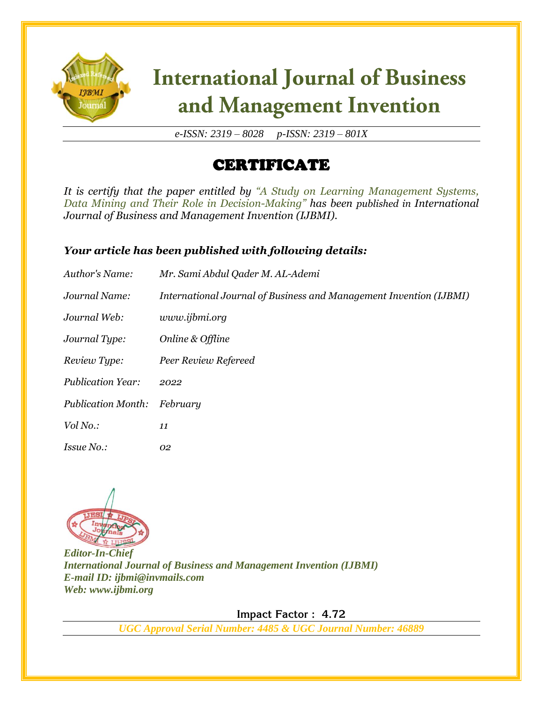

# **International Journal of Business** and Management Invention

*e-ISSN: 2319 – 8028 p-ISSN: 2319 – 801X*

### CERTIFICATE

*It is certify that the paper entitled by "A Study on Learning Management Systems, Data Mining and Their Role in Decision-Making" has been published in International Journal of Business and Management Invention (IJBMI).*

#### *Your article has been published with following details:*

| Author's Name:            | Mr. Sami Abdul Qader M. AL-Ademi                                   |
|---------------------------|--------------------------------------------------------------------|
| Journal Name:             | International Journal of Business and Management Invention (IJBMI) |
| Journal Web:              | www.ijbmi.org                                                      |
| Journal Type:             | Online & Offline                                                   |
| Review Type:              | Peer Review Refereed                                               |
| <b>Publication Year:</b>  | 2022                                                               |
| <b>Publication Month:</b> | February                                                           |
| Vol No.:                  | 11                                                                 |
| <i>Issue No.:</i>         | 02                                                                 |



*Editor-In-Chief International Journal of Business and Management Invention (IJBMI) E-mail ID: ijbmi@invmails.com Web: www.ijbmi.org*

 **Impact Factor : 4.72** 

*UGC Approval Serial Number: 4485 & UGC Journal Number: 46889*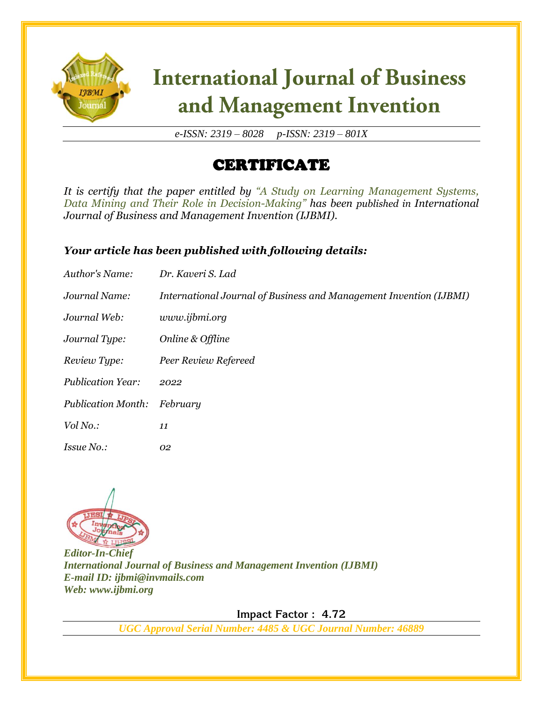

# **International Journal of Business** and Management Invention

*e-ISSN: 2319 – 8028 p-ISSN: 2319 – 801X*

### CERTIFICATE

*It is certify that the paper entitled by "A Study on Learning Management Systems, Data Mining and Their Role in Decision-Making" has been published in International Journal of Business and Management Invention (IJBMI).*

#### *Your article has been published with following details:*

| Author's Name:            | Dr. Kaveri S. Lad                                                  |
|---------------------------|--------------------------------------------------------------------|
| Journal Name:             | International Journal of Business and Management Invention (IJBMI) |
| Journal Web:              | www.ijbmi.org                                                      |
| Journal Type:             | Online & Offline                                                   |
| Review Type:              | Peer Review Refereed                                               |
| <b>Publication Year:</b>  | 2022                                                               |
| <b>Publication Month:</b> | February                                                           |
| Vol No.:                  | 11                                                                 |
| <i>Issue No.:</i>         | 02                                                                 |



*Editor-In-Chief International Journal of Business and Management Invention (IJBMI) E-mail ID: ijbmi@invmails.com Web: www.ijbmi.org*

 **Impact Factor : 4.72** 

*UGC Approval Serial Number: 4485 & UGC Journal Number: 46889*